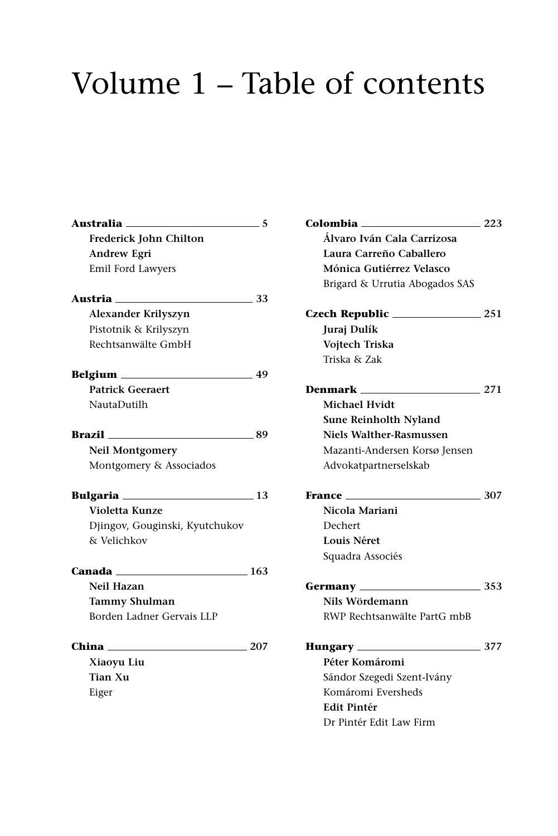## Volume 1 – Table of contents

| Australia                                                                                                     | 5   |
|---------------------------------------------------------------------------------------------------------------|-----|
| <b>Frederick John Chilton</b>                                                                                 |     |
| <b>Andrew Egri</b>                                                                                            |     |
| Emil Ford Lawyers                                                                                             |     |
| Austria de la construcción de la construir de la construir de la construir de la construir de la construir de | 33  |
| <b>Alexander Krilyszyn</b>                                                                                    |     |
| Pistotnik & Krilyszyn                                                                                         |     |
| Rechtsanwälte GmbH                                                                                            |     |
|                                                                                                               | -49 |
| <b>Patrick Geeraert</b>                                                                                       |     |
| NautaDutilh                                                                                                   |     |
| <b>Brazil</b> 89                                                                                              |     |
| Neil Montgomery                                                                                               |     |
| Montgomery & Associados                                                                                       |     |
| <b>Bulgaria</b> ______________________                                                                        | 13  |
| Violetta Kunze                                                                                                |     |
| Djingov, Gouginski, Kyutchukov                                                                                |     |
| & Velichkov                                                                                                   |     |
|                                                                                                               | 163 |
| Neil Hazan                                                                                                    |     |
| <b>Tammy Shulman</b>                                                                                          |     |
| Borden Ladner Gervais LLP                                                                                     |     |
| China                                                                                                         | 207 |
| Xiaoyu Liu                                                                                                    |     |
| <b>Tian Xu</b>                                                                                                |     |
| Eiger                                                                                                         |     |
|                                                                                                               |     |

| Colombia <sub>—</sub><br>223             |
|------------------------------------------|
| Álvaro Iván Cala Carrizosa               |
| Laura Carreño Caballero                  |
| Mónica Gutiérrez Velasco                 |
| Brigard & Urrutia Abogados SAS           |
|                                          |
| Juraj Dulík                              |
| Vojtech Triska                           |
| Triska & Zak                             |
| Denmark<br>$\sim$ 271                    |
| Michael Hvidt                            |
| Sune Reinholth Nyland                    |
| Niels Walther-Rasmussen                  |
| Mazanti-Andersen Korsø Jensen            |
| Advokatpartnerselskab                    |
| 307<br><b>France</b> ______              |
| Nicola Mariani                           |
| Dechert                                  |
|                                          |
| Louis Néret                              |
| Squadra Associés                         |
|                                          |
| Nils Wördemann                           |
| RWP Rechtsanwälte PartG mbB              |
|                                          |
| Péter Komáromi                           |
| Sándor Szegedi Szent-Ivány               |
| Komáromi Eversheds                       |
| <b>Hungary</b> 277<br><b>Edit Pintér</b> |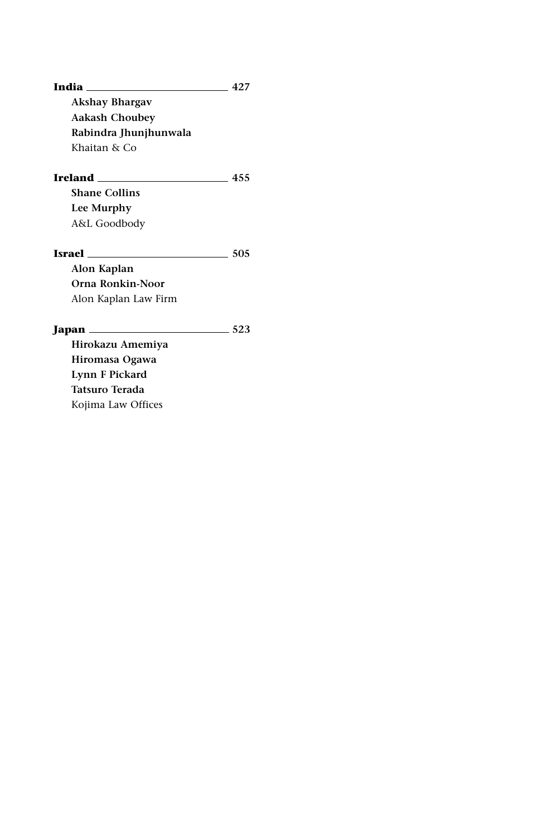| India<br>and the control of the control of the | 42.7 |
|------------------------------------------------|------|
| <b>Akshay Bhargav</b>                          |      |
| <b>Aakash Choubey</b>                          |      |
| Rabindra Jhunjhunwala                          |      |
| Khaitan & Co                                   |      |
|                                                | 455  |
| <b>Shane Collins</b>                           |      |
| Lee Murphy                                     |      |
| A&L Goodbody                                   |      |
| <b>Israel Example 18</b>                       | 505  |
| Alon Kaplan                                    |      |
| Orna Ronkin-Noor                               |      |
| Alon Kaplan Law Firm                           |      |
|                                                | 523  |
| Hirokazu Amemiya                               |      |
| Hiromasa Ogawa                                 |      |
| Lynn F Pickard                                 |      |
| <b>Tatsuro Terada</b>                          |      |
| Kojima Law Offices                             |      |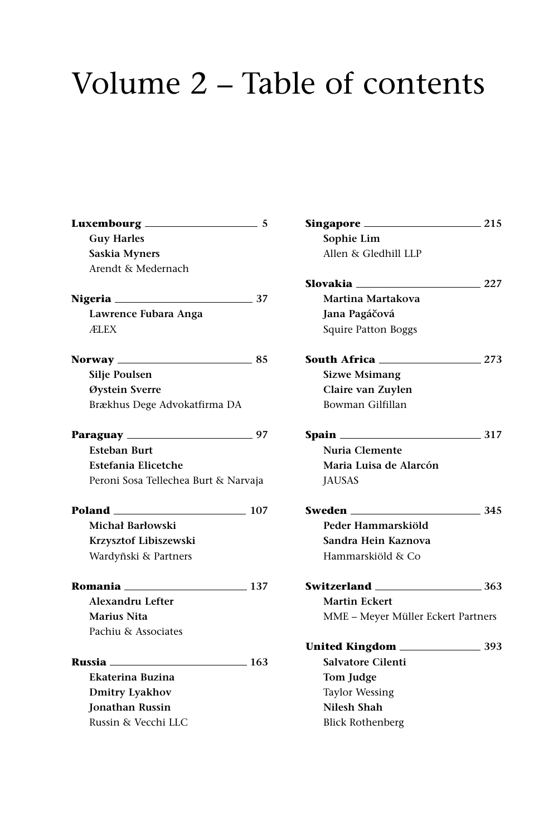## Volume 2 – Table of contents

|                                      | -5   |
|--------------------------------------|------|
| <b>Guy Harles</b>                    |      |
| Saskia Myners                        |      |
| Arendt & Medernach                   |      |
| <b>Nigeria</b> 27                    |      |
| Lawrence Fubara Anga                 |      |
| ÆLEX                                 |      |
|                                      | - 85 |
| Silje Poulsen                        |      |
| Øystein Sverre                       |      |
| Brækhus Dege Advokatfirma DA         |      |
|                                      |      |
| <b>Esteban Burt</b>                  |      |
| Estefania Elicetche                  |      |
| Peroni Sosa Tellechea Burt & Narvaja |      |
| <b>Poland</b> 107                    |      |
| Michał Barłowski                     |      |
| Krzysztof Libiszewski                |      |
| Wardyñski & Partners                 |      |
| <b>Romania</b> 137                   |      |
| <b>Alexandru Lefter</b>              |      |
| Marius Nita                          |      |
| Pachiu & Associates                  |      |
| <b>Russia</b> 163                    |      |
| Ekaterina Buzina                     |      |
| <b>Dmitry Lyakhov</b>                |      |
| <b>Jonathan Russin</b>               |      |
| Russin & Vecchi LLC                  |      |
|                                      |      |

| Singapore ___<br>215               |       |
|------------------------------------|-------|
| Sophie Lim                         |       |
| Allen & Gledhill LLP               |       |
| Slovakia                           | 227   |
| Martina Martakova                  |       |
| Jana Pagáčová                      |       |
| Squire Patton Boggs                |       |
| South Africa _____<br>$\sim$ 273   |       |
| <b>Sizwe Msimang</b>               |       |
| Claire van Zuylen                  |       |
| Bowman Gilfillan                   |       |
| Spain ______________               | - 317 |
| Nuria Clemente                     |       |
| Maria Luisa de Alarcón             |       |
| <b>JAUSAS</b>                      |       |
| Sweden ____                        | 345   |
| Peder Hammarskiöld                 |       |
| Sandra Hein Kaznova                |       |
| Hammarskiöld & Co                  |       |
| Switzerland ____                   | - 363 |
| <b>Martin Eckert</b>               |       |
| MME - Meyer Müller Eckert Partners |       |
|                                    |       |
| <b>Salvatore Cilenti</b>           |       |
| <b>Tom Judge</b>                   |       |
| <b>Taylor Wessing</b>              |       |
| Nilesh Shah                        |       |
| <b>Blick Rothenberg</b>            |       |
|                                    |       |